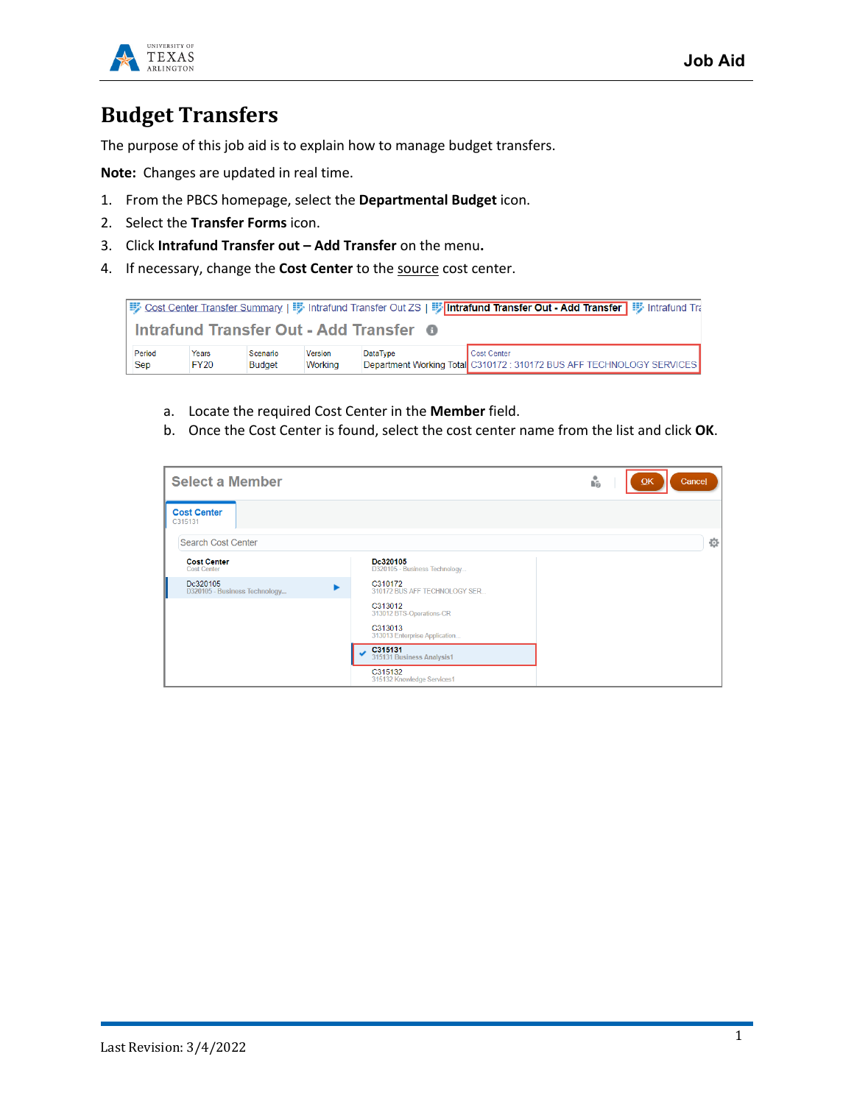



## **Budget Transfers**

The purpose of this job aid is to explain how to manage budget transfers.

**Note:** Changes are updated in real time.

- 1. From the PBCS homepage, select the **Departmental Budget** icon.
- 2. Select the **Transfer Forms** icon.
- 3. Click **Intrafund Transfer out – Add Transfer** on the menu**.**
- 4. If necessary, change the **Cost Center** to the source cost center.



- a. Locate the required Cost Center in the **Member** field.
- b. Once the Cost Center is found, select the cost center name from the list and click **OK**.

| <b>Select a Member</b><br>'n<br>Cancel<br>QK |                                           |   |  |  |  |  |  |  |
|----------------------------------------------|-------------------------------------------|---|--|--|--|--|--|--|
| <b>Cost Center</b><br>C315131                |                                           |   |  |  |  |  |  |  |
| <b>Search Cost Center</b>                    |                                           | ☆ |  |  |  |  |  |  |
| <b>Cost Center</b><br><b>Cost Center</b>     | Dc320105<br>D320105 - Business Technology |   |  |  |  |  |  |  |
| Dc320105<br>D320105 - Business Technology    | C310172<br>310172 BUS AFF TECHNOLOGY SER  |   |  |  |  |  |  |  |
|                                              | C313012<br>313012 BTS-Operations-CR       |   |  |  |  |  |  |  |
|                                              | C313013<br>313013 Enterprise Application  |   |  |  |  |  |  |  |
|                                              | C315131<br>315131 Business Analysis1      |   |  |  |  |  |  |  |
|                                              | C315132<br>315132 Knowledge Services1     |   |  |  |  |  |  |  |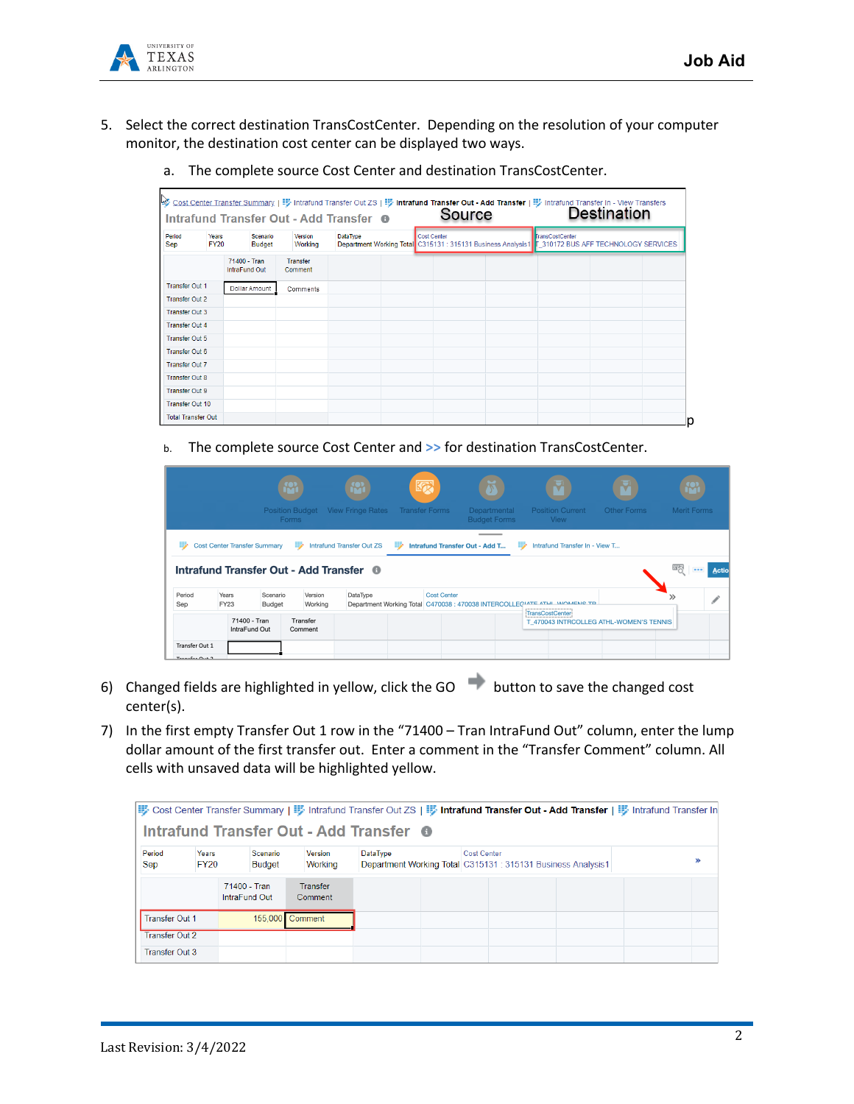

- 5. Select the correct destination TransCostCenter. Depending on the resolution of your computer monitor, the destination cost center can be displayed two ways.
	- a. The complete source Cost Center and destination TransCostCenter.

| Intrafund Transfer Out - Add Transfer <sup>O</sup> |  |                                      |                           |                                                                                                                                                             |  | Source |                        |  |  |  |  |
|----------------------------------------------------|--|--------------------------------------|---------------------------|-------------------------------------------------------------------------------------------------------------------------------------------------------------|--|--------|------------------------|--|--|--|--|
| Period<br>Years<br><b>FY20</b><br>Sep              |  |                                      | Scenario<br><b>Budget</b> | DataType<br><b>Cost Center</b><br>Version<br>Department Working Total C315131 : 315131 Business Analysis1   7 310172 BUS AFF TECHNOLOGY SERVICES<br>Working |  |        | <b>TransCostCenter</b> |  |  |  |  |
|                                                    |  | 71400 - Tran<br><b>IntraFund Out</b> |                           | <b>Transfer</b><br>Comment                                                                                                                                  |  |        |                        |  |  |  |  |
| <b>Transfer Out 1</b>                              |  |                                      | Dollar Amount             | Comments                                                                                                                                                    |  |        |                        |  |  |  |  |
| <b>Transfer Out 2</b>                              |  |                                      |                           |                                                                                                                                                             |  |        |                        |  |  |  |  |
| <b>Transfer Out 3</b>                              |  |                                      |                           |                                                                                                                                                             |  |        |                        |  |  |  |  |
| <b>Transfer Out 4</b>                              |  |                                      |                           |                                                                                                                                                             |  |        |                        |  |  |  |  |
| <b>Transfer Out 5</b>                              |  |                                      |                           |                                                                                                                                                             |  |        |                        |  |  |  |  |
| <b>Transfer Out 6</b>                              |  |                                      |                           |                                                                                                                                                             |  |        |                        |  |  |  |  |
| <b>Transfer Out 7</b>                              |  |                                      |                           |                                                                                                                                                             |  |        |                        |  |  |  |  |
| <b>Transfer Out 8</b>                              |  |                                      |                           |                                                                                                                                                             |  |        |                        |  |  |  |  |
| <b>Transfer Out 9</b>                              |  |                                      |                           |                                                                                                                                                             |  |        |                        |  |  |  |  |
| Transfer Out 10                                    |  |                                      |                           |                                                                                                                                                             |  |        |                        |  |  |  |  |

b. The complete source Cost Center and **>>** for destination TransCostCenter.

|                                            |                                     | <b>Position Budget</b><br><b>Forms</b>                  |                     | <b>View Fringe Rates</b>         |   | 颐<br><b>Transfer Forms</b> | Departmental<br><b>Budget Forms</b> | <b>Position Current</b><br><b>View</b>                                                       | Other Forms | <b>Merit Forms</b>                                                       |               |
|--------------------------------------------|-------------------------------------|---------------------------------------------------------|---------------------|----------------------------------|---|----------------------------|-------------------------------------|----------------------------------------------------------------------------------------------|-------------|--------------------------------------------------------------------------|---------------|
| B                                          | <b>Cost Center Transfer Summary</b> | ₽<br>Intrafund Transfer Out - Add Transfer <sup>6</sup> |                     | <b>Intrafund Transfer Out ZS</b> | B |                            | Intrafund Transfer Out - Add T      | Intrafund Transfer In - View T<br>₩                                                          |             | 罂<br>$\frac{1}{2} \left( \frac{1}{2} \right) \left( \frac{1}{2} \right)$ | <b>Action</b> |
| Period<br>Sep                              | Years<br><b>FY23</b>                | Scenario<br>Budget                                      | Version<br>Working  | DataType                         |   | <b>Cost Center</b>         |                                     | Department Working Total C470038 : 470038 INTERCOLLECIATE ATLIL MOMENS TO<br>TransCostCenter |             |                                                                          |               |
| Transfer Out 1<br>$T$ cancfor $Q_{11}$ + 2 |                                     | 71400 - Tran<br>IntraFund Out                           | Transfer<br>Comment |                                  |   |                            |                                     | T 470043 INTRCOLLEG ATHL-WOMEN'S TENNIS                                                      |             |                                                                          |               |

- 6) Changed fields are highlighted in yellow, click the GO button to save the changed cost center(s).
- 7) In the first empty Transfer Out 1 row in the "71400 Tran IntraFund Out" column, enter the lump dollar amount of the first transfer out. Enter a comment in the "Transfer Comment" column. All cells with unsaved data will be highlighted yellow.

|                                  |                      |                               |                                                                                    | Intrafund Transfer Out - Add Transfer O | vost Center Transfer Summary   野 Intrafund Transfer Out ZS   野 Intrafund Transfer Out - Add Transfer   野 Intrafund Transfer In |  |
|----------------------------------|----------------------|-------------------------------|------------------------------------------------------------------------------------|-----------------------------------------|--------------------------------------------------------------------------------------------------------------------------------|--|
| Period<br>Sep                    | Years<br><b>FY20</b> | Scenario<br><b>Budget</b>     | <b>Cost Center</b><br>Department Working Total C315131 : 315131 Business Analysis1 | ≫                                       |                                                                                                                                |  |
|                                  |                      | 71400 - Tran<br>IntraFund Out | <b>Transfer</b><br>Comment                                                         |                                         |                                                                                                                                |  |
| Transfer Out 1                   |                      |                               | 155,000 Comment                                                                    |                                         |                                                                                                                                |  |
| Transfer Out 2<br>Transfer Out 3 |                      |                               |                                                                                    |                                         |                                                                                                                                |  |